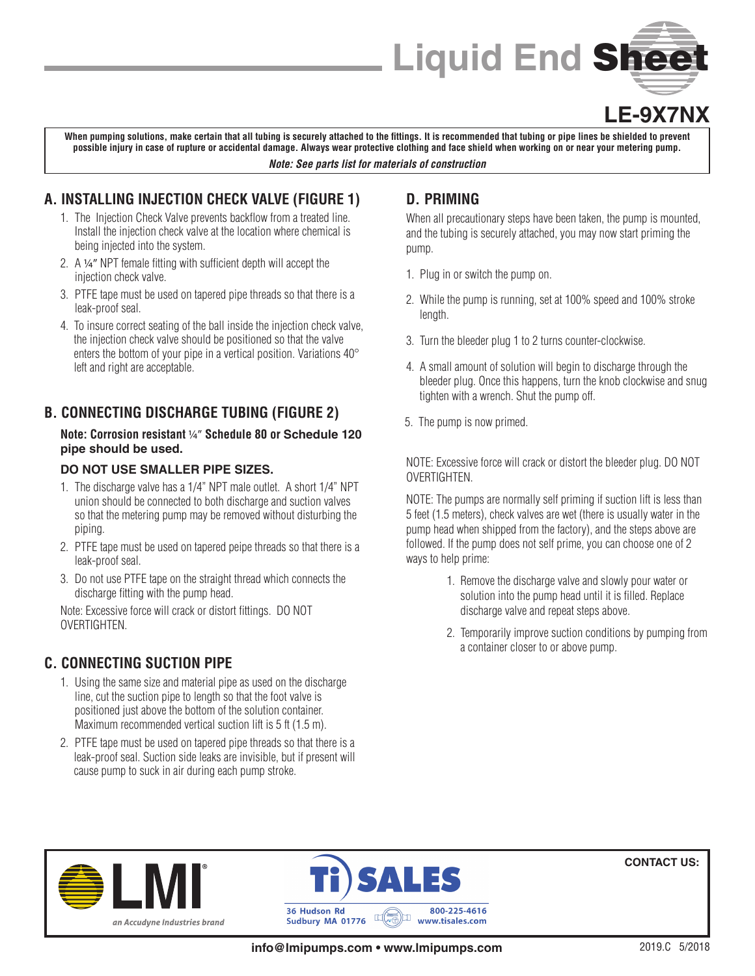

## **LE-9X7NX**

**When pumping solutions, make certain that all tubing is securely attached to the fittings. It is recommended that tubing or pipe lines be shielded to prevent possible injury in case of rupture or accidental damage. Always wear protective clothing and face shield when working on or near your metering pump.** *Note: See parts list for materials of construction*

### **A. INSTALLING INJECTION CHECK VALVE (FIGURE 1)**

- 1. The Injection Check Valve prevents backflow from a treated line. Install the injection check valve at the location where chemical is being injected into the system.
- 2. A 1/4" NPT female fitting with sufficient depth will accept the injection check valve.
- 3. PTFE tape must be used on tapered pipe threads so that there is a leak-proof seal.
- 4. To insure correct seating of the ball inside the injection check valve, the injection check valve should be positioned so that the valve enters the bottom of your pipe in a vertical position. Variations 40° left and right are acceptable.

## **B. CONNECTING DISCHARGE TUBING (FIGURE 2)**

#### **Note: Corrosion resistant** 1/4" **Schedule 80 or Schedule 120 pipe should be used.**

#### **DO NOT USE SMALLER PIPE SIZES.**

- 1. The discharge valve has a 1/4" NPT male outlet. A short 1/4" NPT union should be connected to both discharge and suction valves so that the metering pump may be removed without disturbing the piping.
- 2. PTFE tape must be used on tapered peipe threads so that there is a leak-proof seal.
- 3. Do not use PTFE tape on the straight thread which connects the discharge fitting with the pump head.

Note: Excessive force will crack or distort fittings. DO NOT OVERTIGHTEN.

### **C. CONNECTING SUCTION PIPE**

- 1. Using the same size and material pipe as used on the discharge line, cut the suction pipe to length so that the foot valve is positioned just above the bottom of the solution container. Maximum recommended vertical suction lift is 5 ft (1.5 m).
- 2. PTFE tape must be used on tapered pipe threads so that there is a leak-proof seal. Suction side leaks are invisible, but if present will cause pump to suck in air during each pump stroke.

## **D. PRIMING**

When all precautionary steps have been taken, the pump is mounted, and the tubing is securely attached, you may now start priming the pump.

- 1. Plug in or switch the pump on.
- 2. While the pump is running, set at 100% speed and 100% stroke length.
- 3. Turn the bleeder plug 1 to 2 turns counter-clockwise.
- 4. A small amount of solution will begin to discharge through the bleeder plug. Once this happens, turn the knob clockwise and snug tighten with a wrench. Shut the pump off.
- 5. The pump is now primed.

NOTE: Excessive force will crack or distort the bleeder plug. DO NOT **OVERTIGHTEN** 

NOTE: The pumps are normally self priming if suction lift is less than 5 feet (1.5 meters), check valves are wet (there is usually water in the pump head when shipped from the factory), and the steps above are followed. If the pump does not self prime, you can choose one of 2 ways to help prime:

- 1. Remove the discharge valve and slowly pour water or solution into the pump head until it is filled. Replace discharge valve and repeat steps above.
- 2. Temporarily improve suction conditions by pumping from a container closer to or above pump.





**CONTACT US:**

**info@lmipumps.com • www.lmipumps.com**